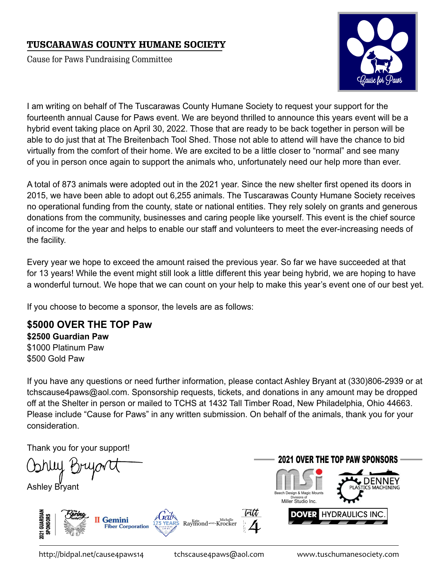## TUSCARAWAS COUNTY HUMANE SOCIETY

Cause for Paws Fundraising Committee



I am writing on behalf of The Tuscarawas County Humane Society to request your support for the fourteenth annual Cause for Paws event. We are beyond thrilled to announce this years event will be a hybrid event taking place on April 30, 2022. Those that are ready to be back together in person will be able to do just that at The Breitenbach Tool Shed. Those not able to attend will have the chance to bid virtually from the comfort of their home. We are excited to be a little closer to "normal" and see many of you in person once again to support the animals who, unfortunately need our help more than ever.

A total of 873 animals were adopted out in the 2021 year. Since the new shelter first opened its doors in 2015, we have been able to adopt out 6,255 animals. The Tuscarawas County Humane Society receives no operational funding from the county, state or national entities. They rely solely on grants and generous donations from the community, businesses and caring people like yourself. This event is the chief source of income for the year and helps to enable our staff and volunteers to meet the ever-increasing needs of the facility.

Every year we hope to exceed the amount raised the previous year. So far we have succeeded at that for 13 years! While the event might still look a little different this year being hybrid, we are hoping to have a wonderful turnout. We hope that we can count on your help to make this year's event one of our best yet.

If you choose to become a sponsor, the levels are as follows:

**\$5000 OVER THE TOP Paw \$2500 Guardian Paw** \$1000 Platinum Paw \$500 Gold Paw

If you have any questions or need further information, please contact Ashley Bryant at (330)806-2939 or at tchscause4paws@aol.com. Sponsorship requests, tickets, and donations in any amount may be dropped off at the Shelter in person or mailed to TCHS at 1432 Tall Timber Road, New Philadelphia, Ohio 44663. Please include "Cause for Paws" in any written submission. On behalf of the animals, thank you for your consideration.

Thank you for your support!

. .

Ashley Bryant